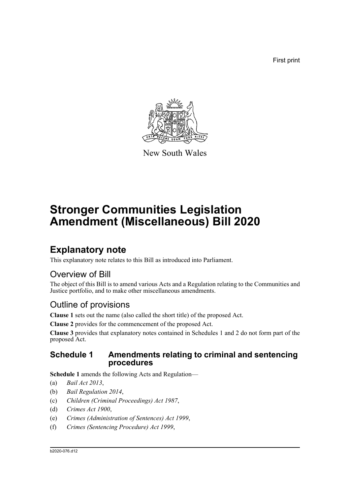First print



New South Wales

# **Stronger Communities Legislation Amendment (Miscellaneous) Bill 2020**

## **Explanatory note**

This explanatory note relates to this Bill as introduced into Parliament.

## Overview of Bill

The object of this Bill is to amend various Acts and a Regulation relating to the Communities and Justice portfolio, and to make other miscellaneous amendments.

## Outline of provisions

**Clause 1** sets out the name (also called the short title) of the proposed Act.

**Clause 2** provides for the commencement of the proposed Act.

**Clause 3** provides that explanatory notes contained in Schedules 1 and 2 do not form part of the proposed Act.

### **Schedule 1 Amendments relating to criminal and sentencing procedures**

**Schedule 1** amends the following Acts and Regulation—

- (a) *Bail Act 2013*,
- (b) *Bail Regulation 2014*,
- (c) *Children (Criminal Proceedings) Act 1987*,
- (d) *Crimes Act 1900*,
- (e) *Crimes (Administration of Sentences) Act 1999*,
- (f) *Crimes (Sentencing Procedure) Act 1999*,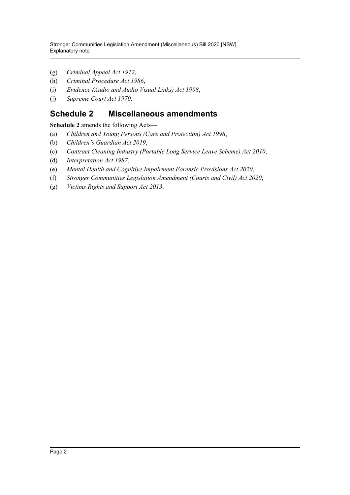- (g) *Criminal Appeal Act 1912*,
- (h) *Criminal Procedure Act 1986*,
- (i) *Evidence (Audio and Audio Visual Links) Act 1998*,
- (j) *Supreme Court Act 1970*.

### **Schedule 2 Miscellaneous amendments**

**Schedule 2** amends the following Acts—

- (a) *Children and Young Persons (Care and Protection) Act 1998*,
- (b) *Children's Guardian Act 2019*,
- (c) *Contract Cleaning Industry (Portable Long Service Leave Scheme) Act 2010*,
- (d) *Interpretation Act 1987*,
- (e) *Mental Health and Cognitive Impairment Forensic Provisions Act 2020*,
- (f) *Stronger Communities Legislation Amendment (Courts and Civil) Act 2020*,
- (g) *Victims Rights and Support Act 2013*.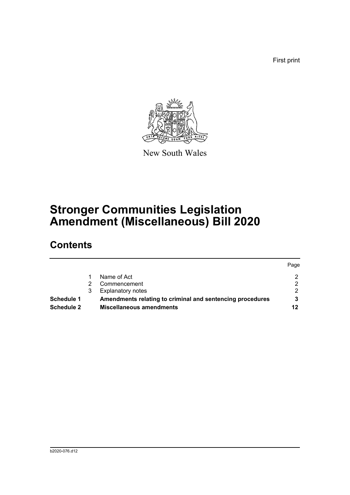First print



New South Wales

## **Stronger Communities Legislation Amendment (Miscellaneous) Bill 2020**

## **Contents**

|            |                                                           | Page |
|------------|-----------------------------------------------------------|------|
|            | Name of Act                                               |      |
|            | Commencement                                              | ◠    |
|            | <b>Explanatory notes</b>                                  |      |
| Schedule 1 | Amendments relating to criminal and sentencing procedures |      |
| Schedule 2 | <b>Miscellaneous amendments</b>                           | 12   |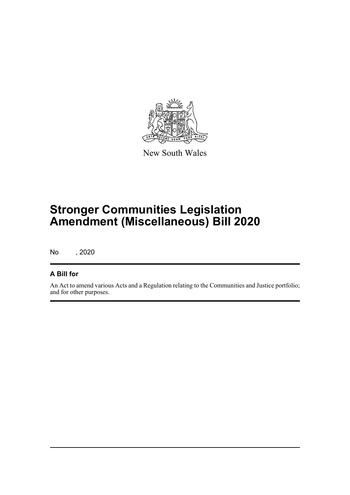

New South Wales

## **Stronger Communities Legislation Amendment (Miscellaneous) Bill 2020**

No , 2020

### **A Bill for**

An Act to amend various Acts and a Regulation relating to the Communities and Justice portfolio; and for other purposes.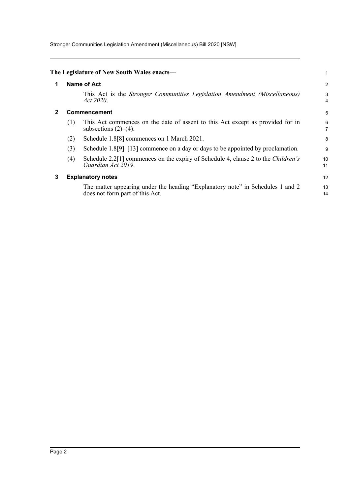Stronger Communities Legislation Amendment (Miscellaneous) Bill 2020 [NSW]

<span id="page-4-2"></span><span id="page-4-1"></span><span id="page-4-0"></span>

|   |     | The Legislature of New South Wales enacts-                                                                                 |                     |
|---|-----|----------------------------------------------------------------------------------------------------------------------------|---------------------|
| 1 |     | Name of Act                                                                                                                | 2                   |
|   |     | This Act is the Stronger Communities Legislation Amendment (Miscellaneous)<br>Act 2020.                                    | 3<br>4              |
| 2 |     | <b>Commencement</b>                                                                                                        | 5                   |
|   | (1) | This Act commences on the date of assent to this Act except as provided for in<br>subsections $(2)$ – $(4)$ .              | 6<br>$\overline{7}$ |
|   | (2) | Schedule 1.8[8] commences on 1 March 2021.                                                                                 | 8                   |
|   | (3) | Schedule $1.8[9]$ –[13] commence on a day or days to be appointed by proclamation.                                         | 9                   |
|   | (4) | Schedule 2.2 <sup>[1]</sup> commences on the expiry of Schedule 4, clause 2 to the <i>Children's</i><br>Guardian Act 2019. | 10<br>11            |
| 3 |     | <b>Explanatory notes</b>                                                                                                   | 12                  |
|   |     | The matter appearing under the heading "Explanatory note" in Schedules 1 and 2<br>does not form part of this Act.          | 13<br>14            |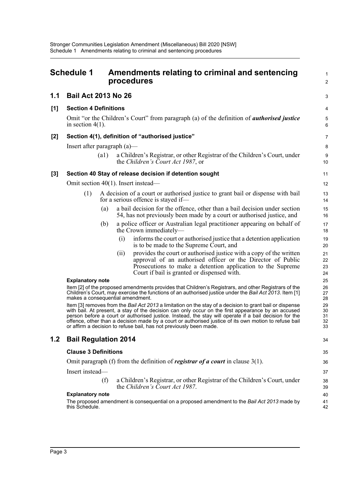<span id="page-5-0"></span>

|       | <b>Schedule 1</b>                         | Amendments relating to criminal and sentencing<br>procedures                                                                                                                                                                                                                                                                                                                                                                                                                                            | 1<br>$\overline{2}$        |
|-------|-------------------------------------------|---------------------------------------------------------------------------------------------------------------------------------------------------------------------------------------------------------------------------------------------------------------------------------------------------------------------------------------------------------------------------------------------------------------------------------------------------------------------------------------------------------|----------------------------|
| 1.1   | <b>Bail Act 2013 No 26</b>                |                                                                                                                                                                                                                                                                                                                                                                                                                                                                                                         | 3                          |
| $[1]$ | <b>Section 4 Definitions</b>              |                                                                                                                                                                                                                                                                                                                                                                                                                                                                                                         | 4                          |
|       | in section $4(1)$ .                       | Omit "or the Children's Court" from paragraph (a) of the definition of <i>authorised justice</i>                                                                                                                                                                                                                                                                                                                                                                                                        | 5<br>6                     |
| $[2]$ |                                           | Section 4(1), definition of "authorised justice"                                                                                                                                                                                                                                                                                                                                                                                                                                                        | 7                          |
|       | Insert after paragraph $(a)$ —            |                                                                                                                                                                                                                                                                                                                                                                                                                                                                                                         | 8                          |
|       | (a1)                                      | a Children's Registrar, or other Registrar of the Children's Court, under<br>the Children's Court Act 1987, or                                                                                                                                                                                                                                                                                                                                                                                          | 9<br>10                    |
| $[3]$ |                                           | Section 40 Stay of release decision if detention sought                                                                                                                                                                                                                                                                                                                                                                                                                                                 | 11                         |
|       |                                           | Omit section $40(1)$ . Insert instead—                                                                                                                                                                                                                                                                                                                                                                                                                                                                  | 12                         |
|       | (1)                                       | A decision of a court or authorised justice to grant bail or dispense with bail<br>for a serious offence is stayed if—                                                                                                                                                                                                                                                                                                                                                                                  | 13<br>14                   |
|       |                                           | a bail decision for the offence, other than a bail decision under section<br>(a)<br>54, has not previously been made by a court or authorised justice, and                                                                                                                                                                                                                                                                                                                                              | 15<br>16                   |
|       |                                           | a police officer or Australian legal practitioner appearing on behalf of<br>(b)<br>the Crown immediately-                                                                                                                                                                                                                                                                                                                                                                                               | 17<br>18                   |
|       |                                           | informs the court or authorised justice that a detention application<br>(i)<br>is to be made to the Supreme Court, and                                                                                                                                                                                                                                                                                                                                                                                  | 19<br>20                   |
|       |                                           | provides the court or authorised justice with a copy of the written<br>(i)<br>approval of an authorised officer or the Director of Public<br>Prosecutions to make a detention application to the Supreme<br>Court if bail is granted or dispensed with.                                                                                                                                                                                                                                                 | 21<br>22<br>23<br>24       |
|       | <b>Explanatory note</b>                   |                                                                                                                                                                                                                                                                                                                                                                                                                                                                                                         | 25                         |
|       |                                           | Item [2] of the proposed amendments provides that Children's Registrars, and other Registrars of the<br>Children's Court, may exercise the functions of an authorised justice under the Bail Act 2013. Item [1]<br>makes a consequential amendment.                                                                                                                                                                                                                                                     | 26<br>27<br>28             |
|       |                                           | Item [3] removes from the Bail Act 2013 a limitation on the stay of a decision to grant bail or dispense<br>with bail. At present, a stay of the decision can only occur on the first appearance by an accused<br>person before a court or authorised justice. Instead, the stay will operate if a bail decision for the<br>offence, other than a decision made by a court or authorised justice of its own motion to refuse bail<br>or affirm a decision to refuse bail, has not previously been made. | 29<br>30<br>31<br>32<br>33 |
| 1.2   | <b>Bail Regulation 2014</b>               |                                                                                                                                                                                                                                                                                                                                                                                                                                                                                                         | 34                         |
|       | <b>Clause 3 Definitions</b>               |                                                                                                                                                                                                                                                                                                                                                                                                                                                                                                         | 35                         |
|       |                                           | Omit paragraph (f) from the definition of registrar of a court in clause $3(1)$ .                                                                                                                                                                                                                                                                                                                                                                                                                       | 36                         |
|       | Insert instead-                           |                                                                                                                                                                                                                                                                                                                                                                                                                                                                                                         | 37                         |
|       |                                           | (f)<br>a Children's Registrar, or other Registrar of the Children's Court, under<br>the Children's Court Act 1987.                                                                                                                                                                                                                                                                                                                                                                                      | 38<br>39                   |
|       | <b>Explanatory note</b><br>this Schedule. | The proposed amendment is consequential on a proposed amendment to the Bail Act 2013 made by                                                                                                                                                                                                                                                                                                                                                                                                            | 40<br>41<br>42             |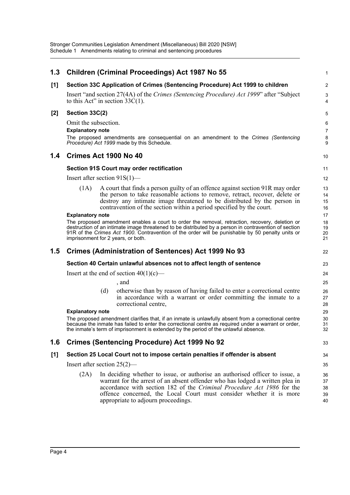| 1.3   |                                    |     | <b>Children (Criminal Proceedings) Act 1987 No 55</b>                                                                                                                                                                                           | 1                       |
|-------|------------------------------------|-----|-------------------------------------------------------------------------------------------------------------------------------------------------------------------------------------------------------------------------------------------------|-------------------------|
| [1]   |                                    |     | Section 33C Application of Crimes (Sentencing Procedure) Act 1999 to children                                                                                                                                                                   | $\overline{\mathbf{c}}$ |
|       | to this Act" in section $33C(1)$ . |     | Insert "and section 27(4A) of the Crimes (Sentencing Procedure) Act 1999" after "Subject"                                                                                                                                                       | 3<br>4                  |
| $[2]$ | Section 33C(2)                     |     |                                                                                                                                                                                                                                                 | 5                       |
|       | Omit the subsection.               |     |                                                                                                                                                                                                                                                 | 6                       |
|       | <b>Explanatory note</b>            |     |                                                                                                                                                                                                                                                 | 7                       |
|       |                                    |     | The proposed amendments are consequential on an amendment to the Crimes (Sentencing<br>Procedure) Act 1999 made by this Schedule.                                                                                                               | 8<br>9                  |
| 1.4   | Crimes Act 1900 No 40              |     |                                                                                                                                                                                                                                                 | 10                      |
|       |                                    |     | Section 91S Court may order rectification                                                                                                                                                                                                       | 11                      |
|       | Insert after section $91S(1)$ —    |     |                                                                                                                                                                                                                                                 | 12                      |
|       | (1A)                               |     | A court that finds a person guilty of an offence against section 91R may order                                                                                                                                                                  | 13                      |
|       |                                    |     | the person to take reasonable actions to remove, retract, recover, delete or                                                                                                                                                                    | 14                      |
|       |                                    |     | destroy any intimate image threatened to be distributed by the person in<br>contravention of the section within a period specified by the court.                                                                                                | 15<br>16                |
|       | <b>Explanatory note</b>            |     |                                                                                                                                                                                                                                                 | 17                      |
|       |                                    |     | The proposed amendment enables a court to order the removal, retraction, recovery, deletion or                                                                                                                                                  | 18                      |
|       |                                    |     | destruction of an intimate image threatened to be distributed by a person in contravention of section<br>91R of the Crimes Act 1900. Contravention of the order will be punishable by 50 penalty units or<br>imprisonment for 2 years, or both. | 19<br>20<br>21          |
| 1.5   |                                    |     | <b>Crimes (Administration of Sentences) Act 1999 No 93</b>                                                                                                                                                                                      | 22                      |
|       |                                    |     | Section 40 Certain unlawful absences not to affect length of sentence                                                                                                                                                                           | 23                      |
|       |                                    |     | Insert at the end of section $40(1)(c)$ —                                                                                                                                                                                                       | 24                      |
|       |                                    |     | , and                                                                                                                                                                                                                                           | 25                      |
|       |                                    | (d) | otherwise than by reason of having failed to enter a correctional centre                                                                                                                                                                        | 26                      |
|       |                                    |     | in accordance with a warrant or order committing the inmate to a                                                                                                                                                                                | 27                      |
|       | <b>Explanatory note</b>            |     | correctional centre,                                                                                                                                                                                                                            | 28<br>29                |
|       |                                    |     | The proposed amendment clarifies that, if an inmate is unlawfully absent from a correctional centre                                                                                                                                             | 30                      |
|       |                                    |     | because the inmate has failed to enter the correctional centre as required under a warrant or order,                                                                                                                                            | 31                      |
|       |                                    |     | the inmate's term of imprisonment is extended by the period of the unlawful absence                                                                                                                                                             | 32                      |
| 1.6   |                                    |     | <b>Crimes (Sentencing Procedure) Act 1999 No 92</b>                                                                                                                                                                                             | 33                      |
| [1]   |                                    |     | Section 25 Local Court not to impose certain penalties if offender is absent                                                                                                                                                                    | 34                      |
|       | Insert after section $25(2)$ —     |     |                                                                                                                                                                                                                                                 | 35                      |
|       | (2A)                               |     | In deciding whether to issue, or authorise an authorised officer to issue, a                                                                                                                                                                    | 36                      |
|       |                                    |     | warrant for the arrest of an absent offender who has lodged a written plea in                                                                                                                                                                   | 37                      |
|       |                                    |     | accordance with section 182 of the Criminal Procedure Act 1986 for the<br>offence concerned, the Local Court must consider whether it is more                                                                                                   | 38                      |
|       |                                    |     | appropriate to adjourn proceedings.                                                                                                                                                                                                             | 39<br>40                |
|       |                                    |     |                                                                                                                                                                                                                                                 |                         |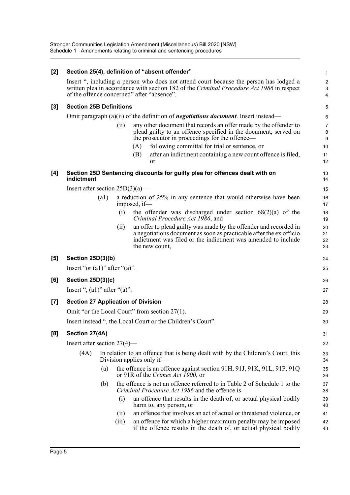Stronger Communities Legislation Amendment (Miscellaneous) Bill 2020 [NSW] Schedule 1 Amendments relating to criminal and sentencing procedures

| [2]                |                                               |      |       | Section 25(4), definition of "absent offender"                                                                                                                                                                                    | $\mathbf{1}$                                     |  |  |
|--------------------|-----------------------------------------------|------|-------|-----------------------------------------------------------------------------------------------------------------------------------------------------------------------------------------------------------------------------------|--------------------------------------------------|--|--|
|                    |                                               |      |       | Insert ", including a person who does not attend court because the person has lodged a<br>written plea in accordance with section 182 of the Criminal Procedure Act 1986 in respect<br>of the offence concerned" after "absence". | $\boldsymbol{2}$<br>$\sqrt{3}$<br>$\overline{4}$ |  |  |
| $[3]$              | <b>Section 25B Definitions</b>                |      |       |                                                                                                                                                                                                                                   | 5                                                |  |  |
|                    |                                               |      |       | Omit paragraph $(a)(ii)$ of the definition of <i>negotiations document</i> . Insert instead—                                                                                                                                      | 6                                                |  |  |
|                    |                                               |      | (ii)  | any other document that records an offer made by the offender to<br>plead guilty to an offence specified in the document, served on<br>the prosecutor in proceedings for the offence—                                             | $\overline{7}$<br>8<br>9                         |  |  |
|                    |                                               |      |       | following committal for trial or sentence, or<br>(A)                                                                                                                                                                              | 10                                               |  |  |
|                    |                                               |      |       | (B)<br>after an indictment containing a new count offence is filed,<br>or                                                                                                                                                         | 11<br>12                                         |  |  |
| [4]                | indictment                                    |      |       | Section 25D Sentencing discounts for guilty plea for offences dealt with on                                                                                                                                                       | 13<br>14                                         |  |  |
|                    | Insert after section $25D(3)(a)$ —            |      |       |                                                                                                                                                                                                                                   | 15                                               |  |  |
|                    |                                               | (a1) |       | a reduction of 25% in any sentence that would otherwise have been<br>imposed, if-                                                                                                                                                 | 16<br>17                                         |  |  |
|                    |                                               |      | (i)   | the offender was discharged under section $68(2)(a)$ of the<br>Criminal Procedure Act 1986, and                                                                                                                                   | 18<br>19                                         |  |  |
|                    |                                               |      | (ii)  | an offer to plead guilty was made by the offender and recorded in<br>a negotiations document as soon as practicable after the ex officio<br>indictment was filed or the indictment was amended to include<br>the new count,       | 20<br>21<br>22<br>23                             |  |  |
| [5]                | Section 25D(3)(b)                             |      |       |                                                                                                                                                                                                                                   | 24                                               |  |  |
|                    | Insert "or $(a1)$ " after " $(a)$ ".          |      |       |                                                                                                                                                                                                                                   | 25                                               |  |  |
| [6]                | Section $25D(3)(c)$                           |      |       |                                                                                                                                                                                                                                   | 26                                               |  |  |
|                    | Insert ", $(a1)$ " after " $(a)$ ".           |      |       |                                                                                                                                                                                                                                   | 27                                               |  |  |
| $\left[ 7 \right]$ |                                               |      |       | <b>Section 27 Application of Division</b>                                                                                                                                                                                         | 28                                               |  |  |
|                    | Omit "or the Local Court" from section 27(1). |      |       |                                                                                                                                                                                                                                   |                                                  |  |  |
|                    |                                               |      |       | Insert instead ", the Local Court or the Children's Court".                                                                                                                                                                       | 30                                               |  |  |
| [8]                | Section 27(4A)                                |      |       |                                                                                                                                                                                                                                   | 31                                               |  |  |
|                    | Insert after section $27(4)$ —                |      |       |                                                                                                                                                                                                                                   | 32                                               |  |  |
|                    | (4A)                                          |      |       | In relation to an offence that is being dealt with by the Children's Court, this<br>Division applies only if—                                                                                                                     | 33<br>34                                         |  |  |
|                    |                                               | (a)  |       | the offence is an offence against section 91H, 91J, 91K, 91L, 91P, 91Q<br>or 91R of the Crimes Act 1900, or                                                                                                                       | 35<br>36                                         |  |  |
|                    |                                               | (b)  |       | the offence is not an offence referred to in Table 2 of Schedule 1 to the<br>Criminal Procedure Act 1986 and the offence is-                                                                                                      | 37<br>38                                         |  |  |
|                    |                                               |      | (i)   | an offence that results in the death of, or actual physical bodily<br>harm to, any person, or                                                                                                                                     | 39<br>40                                         |  |  |
|                    |                                               |      | (11)  | an offence that involves an act of actual or threatened violence, or                                                                                                                                                              | 41                                               |  |  |
|                    |                                               |      | (iii) | an offence for which a higher maximum penalty may be imposed<br>if the offence results in the death of, or actual physical bodily                                                                                                 | 42<br>43                                         |  |  |
|                    |                                               |      |       |                                                                                                                                                                                                                                   |                                                  |  |  |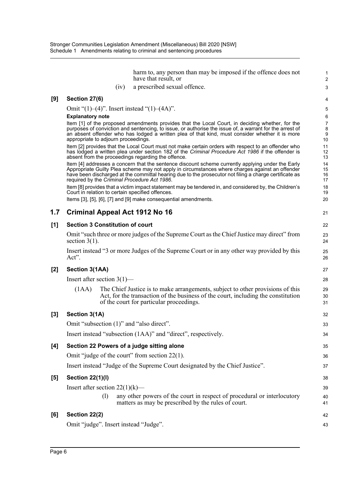harm to, any person than may be imposed if the offence does not have that result, or

1 2 3

21

40 41

42 43

(iv) a prescribed sexual offence.

#### **[9] Section 27(6)**

Omit "(1)–(4)". Insert instead "(1)–(4A)".

#### **Explanatory note**

Item [1] of the proposed amendments provides that the Local Court, in deciding whether, for the purposes of conviction and sentencing, to issue, or authorise the issue of, a warrant for the arrest of an absent offender who has lodged a written plea of that kind, must consider whether it is more appropriate to adjourn proceedings.

Item [2] provides that the Local Court must not make certain orders with respect to an offender who has lodged a written plea under section 182 of the *Criminal Procedure Act 1986* if the offender is absent from the proceedings regarding the offence.

Item [4] addresses a concern that the sentence discount scheme currently applying under the Early Appropriate Guilty Plea scheme may not apply in circumstances where charges against an offender have been discharged at the committal hearing due to the prosecutor not filing a charge certificate as required by the *Criminal Procedure Act 1986*.

Item [8] provides that a victim impact statement may be tendered in, and considered by, the Children's Court in relation to certain specified offences.

Items [3], [5], [6], [7] and [9] make consequential amendments.

#### **1.7 Criminal Appeal Act 1912 No 16**

### **[1] Section 3 Constitution of court**

Omit "such three or more judges of the Supreme Court as the Chief Justice may direct" from section  $3(1)$ .

Insert instead "3 or more Judges of the Supreme Court or in any other way provided by this Act".

#### **[2] Section 3(1AA)**

Insert after section 3(1)—

(1AA) The Chief Justice is to make arrangements, subject to other provisions of this Act, for the transaction of the business of the court, including the constitution of the court for particular proceedings.

### **[3] Section 3(1A)**

|     | Omit "subsection (1)" and "also direct".                                     | 33 |
|-----|------------------------------------------------------------------------------|----|
|     | Insert instead "subsection (1AA)" and "direct", respectively.                | 34 |
| [4] | Section 22 Powers of a judge sitting alone                                   | 35 |
|     | Omit "judge of the court" from section $22(1)$ .                             | 36 |
|     | Insert instead "Judge of the Supreme Court designated by the Chief Justice". | 37 |
| [5] | <b>Section 22(1)(l)</b>                                                      | 38 |
|     | Insert after section $22(1)(k)$ —                                            | 39 |
|     |                                                                              |    |

(l) any other powers of the court in respect of procedural or interlocutory matters as may be prescribed by the rules of court.

#### **[6] Section 22(2)**

Omit "judge". Insert instead "Judge".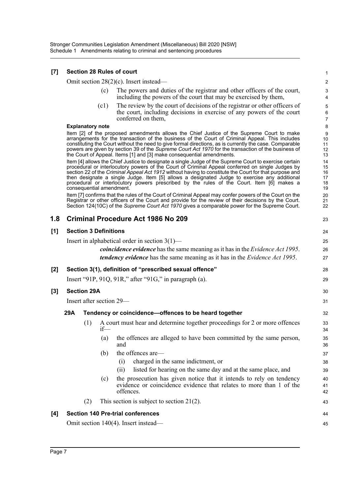#### **[7] Section 28 Rules of court**

Omit section 28(2)(c). Insert instead—

(c) The powers and duties of the registrar and other officers of the court, including the powers of the court that may be exercised by them,

43

44 45

(c1) The review by the court of decisions of the registrar or other officers of the court, including decisions in exercise of any powers of the court conferred on them,

#### **Explanatory note**

Item [2] of the proposed amendments allows the Chief Justice of the Supreme Court to make arrangements for the transaction of the business of the Court of Criminal Appeal. This includes constituting the Court without the need to give formal directions, as is currently the case. Comparable powers are given by section 39 of the *Supreme Court Act 1970* for the transaction of the business of the Court of Appeal. Items [1] and [3] make consequential amendments.

Item [4] allows the Chief Justice to designate a single Judge of the Supreme Court to exercise certain procedural or interlocutory powers of the Court of Criminal Appeal conferred on single Judges by section 22 of the *Criminal Appeal Act 1912* without having to constitute the Court for that purpose and then designate a single Judge. Item [5] allows a designated Judge to exercise any additional procedural or interlocutory powers prescribed by the rules of the Court. Item [6] makes a consequential amendment.

Item [7] confirms that the rules of the Court of Criminal Appeal may confer powers of the Court on the Registrar or other officers of the Court and provide for the review of their decisions by the Court. Section 124(10C) of the *Supreme Court Act 1970* gives a comparable power for the Supreme Court.

#### **1.8 Criminal Procedure Act 1986 No 209 [1] Section 3 Definitions** Insert in alphabetical order in section 3(1) *coincidence evidence* has the same meaning as it has in the *Evidence Act 1995*. *tendency evidence* has the same meaning as it has in the *Evidence Act 1995*. **[2] Section 3(1), definition of "prescribed sexual offence"** Insert "91P, 91Q, 91R," after "91G," in paragraph (a). **[3] Section 29A** Insert after section 29— **29A Tendency or coincidence—offences to be heard together** (1) A court must hear and determine together proceedings for 2 or more offences if— (a) the offences are alleged to have been committed by the same person, and (b) the offences are— (i) charged in the same indictment, or (ii) listed for hearing on the same day and at the same place, and (c) the prosecution has given notice that it intends to rely on tendency evidence or coincidence evidence that relates to more than 1 of the offences. 23 24 25 26 27 28  $29$ 30 31 32 33 34 35 36 37 38 39 40 41 42

(2) This section is subject to section 21(2).

#### **[4] Section 140 Pre-trial conferences**

Omit section 140(4). Insert instead—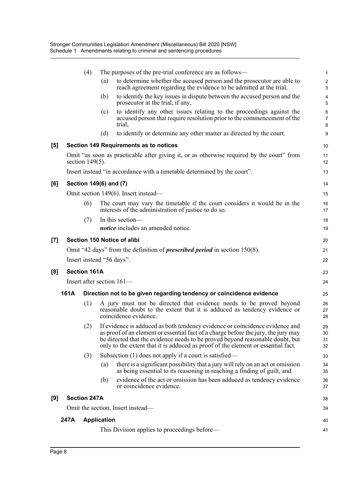|                     |      | (4)                    |                    | The purposes of the pre-trial conference are as follows—                                                                                                                                                                                                                                                                                | 1                            |
|---------------------|------|------------------------|--------------------|-----------------------------------------------------------------------------------------------------------------------------------------------------------------------------------------------------------------------------------------------------------------------------------------------------------------------------------------|------------------------------|
|                     |      |                        | (a)                | to determine whether the accused person and the prosecutor are able to<br>reach agreement regarding the evidence to be admitted at the trial,                                                                                                                                                                                           | $\overline{\mathbf{c}}$<br>3 |
|                     |      |                        | (b)                | to identify the key issues in dispute between the accused person and the<br>prosecutor at the trial, if any,                                                                                                                                                                                                                            | 4<br>5                       |
|                     |      |                        | (c)                | to identify any other issues relating to the proceedings against the<br>accused person that require resolution prior to the commencement of the<br>trial,                                                                                                                                                                               | 6<br>7<br>8                  |
|                     |      |                        | (d)                | to identify or determine any other matter as directed by the court.                                                                                                                                                                                                                                                                     | 9                            |
| $\lbrack 5 \rbrack$ |      |                        |                    | Section 149 Requirements as to notices                                                                                                                                                                                                                                                                                                  | 10                           |
|                     |      | section $149(5)$ .     |                    | Omit "as soon as practicable after giving it, or as otherwise required by the court" from                                                                                                                                                                                                                                               | 11<br>12                     |
|                     |      |                        |                    | Insert instead "in accordance with a timetable determined by the court".                                                                                                                                                                                                                                                                | 13                           |
| [6]                 |      | Section 149(6) and (7) |                    |                                                                                                                                                                                                                                                                                                                                         | 14                           |
|                     |      |                        |                    | Omit section 149(6). Insert instead—                                                                                                                                                                                                                                                                                                    | 15                           |
|                     |      | (6)                    |                    | The court may vary the timetable if the court considers it would be in the<br>interests of the administration of justice to do so.                                                                                                                                                                                                      | 16<br>17                     |
|                     |      | (7)                    |                    | In this section-                                                                                                                                                                                                                                                                                                                        | 18                           |
|                     |      |                        |                    | <i>notice</i> includes an amended notice.                                                                                                                                                                                                                                                                                               | 19                           |
| $\left[ 7\right]$   |      |                        |                    | Section 150 Notice of alibi                                                                                                                                                                                                                                                                                                             | 20                           |
|                     |      |                        |                    | Omit "42 days" from the definition of <i>prescribed period</i> in section 150(8).                                                                                                                                                                                                                                                       | 21                           |
|                     |      |                        |                    | Insert instead "56 days".                                                                                                                                                                                                                                                                                                               | 22                           |
| [8]                 |      | <b>Section 161A</b>    |                    |                                                                                                                                                                                                                                                                                                                                         | 23                           |
|                     |      |                        |                    | Insert after section 161-                                                                                                                                                                                                                                                                                                               | 24                           |
|                     | 161A |                        |                    | Direction not to be given regarding tendency or coincidence evidence                                                                                                                                                                                                                                                                    | 25                           |
|                     |      | (1)                    |                    | A jury must not be directed that evidence needs to be proved beyond<br>reasonable doubt to the extent that it is adduced as tendency evidence or<br>coincidence evidence.                                                                                                                                                               | 26<br>27<br>28               |
|                     |      | (2)                    |                    | If evidence is adduced as both tendency evidence or coincidence evidence and<br>as proof of an element or essential fact of a charge before the jury, the jury may<br>be directed that the evidence needs to be proved beyond reasonable doubt, but<br>only to the extent that it is adduced as proof of the element or essential fact. | 29<br>30<br>31<br>32         |
|                     |      | (3)                    |                    | Subsection $(1)$ does not apply if a court is satisfied—                                                                                                                                                                                                                                                                                | 33                           |
|                     |      |                        | (a)                | there is a significant possibility that a jury will rely on an act or omission<br>as being essential to its reasoning in reaching a finding of guilt, and                                                                                                                                                                               | 34<br>35                     |
|                     |      |                        | (b)                | evidence of the act or omission has been adduced as tendency evidence<br>or coincidence evidence.                                                                                                                                                                                                                                       | 36<br>37                     |
| [9]                 |      | <b>Section 247A</b>    |                    |                                                                                                                                                                                                                                                                                                                                         | 38                           |
|                     |      |                        |                    | Omit the section. Insert instead-                                                                                                                                                                                                                                                                                                       | 39                           |
|                     | 247A |                        | <b>Application</b> |                                                                                                                                                                                                                                                                                                                                         | 40                           |
|                     |      |                        |                    | This Division applies to proceedings before—                                                                                                                                                                                                                                                                                            | 41                           |
|                     |      |                        |                    |                                                                                                                                                                                                                                                                                                                                         |                              |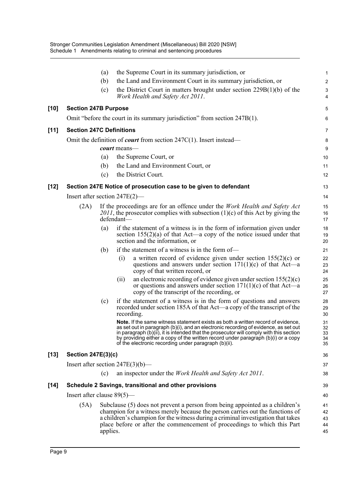|        |                                 | (a)      | the Supreme Court in its summary jurisdiction, or                                                                                                                                                                                                                                                                                                                                                              | $\mathbf 1$                |
|--------|---------------------------------|----------|----------------------------------------------------------------------------------------------------------------------------------------------------------------------------------------------------------------------------------------------------------------------------------------------------------------------------------------------------------------------------------------------------------------|----------------------------|
|        |                                 | (b)      | the Land and Environment Court in its summary jurisdiction, or                                                                                                                                                                                                                                                                                                                                                 | $\boldsymbol{2}$           |
|        |                                 | (c)      | the District Court in matters brought under section $229B(1)(b)$ of the<br>Work Health and Safety Act 2011.                                                                                                                                                                                                                                                                                                    | 3<br>4                     |
| [10]   | <b>Section 247B Purpose</b>     |          |                                                                                                                                                                                                                                                                                                                                                                                                                | 5                          |
|        |                                 |          | Omit "before the court in its summary jurisdiction" from section 247B(1).                                                                                                                                                                                                                                                                                                                                      | 6                          |
| $[11]$ | <b>Section 247C Definitions</b> |          |                                                                                                                                                                                                                                                                                                                                                                                                                | 7                          |
|        |                                 |          | Omit the definition of <i>court</i> from section $247C(1)$ . Insert instead—                                                                                                                                                                                                                                                                                                                                   | 8                          |
|        |                                 |          | <i>court</i> means—                                                                                                                                                                                                                                                                                                                                                                                            | 9                          |
|        |                                 | (a)      | the Supreme Court, or                                                                                                                                                                                                                                                                                                                                                                                          | 10                         |
|        |                                 | (b)      | the Land and Environment Court, or                                                                                                                                                                                                                                                                                                                                                                             | 11                         |
|        |                                 | (c)      | the District Court.                                                                                                                                                                                                                                                                                                                                                                                            | 12                         |
| [12]   |                                 |          | Section 247E Notice of prosecution case to be given to defendant                                                                                                                                                                                                                                                                                                                                               | 13                         |
|        |                                 |          | Insert after section $247E(2)$ —                                                                                                                                                                                                                                                                                                                                                                               | 14                         |
|        | (2A)                            |          | If the proceedings are for an offence under the <i>Work Health and Safety Act</i><br>2011, the prosecutor complies with subsection $(1)(c)$ of this Act by giving the<br>defendant—                                                                                                                                                                                                                            | 15<br>16<br>17             |
|        |                                 | (a)      | if the statement of a witness is in the form of information given under<br>section $155(2)(a)$ of that Act—a copy of the notice issued under that<br>section and the information, or                                                                                                                                                                                                                           | 18<br>19<br>20             |
|        |                                 | (b)      | if the statement of a witness is in the form of—                                                                                                                                                                                                                                                                                                                                                               | 21                         |
|        |                                 |          | a written record of evidence given under section $155(2)(c)$ or<br>(i)<br>questions and answers under section $171(1)(c)$ of that Act—a<br>copy of that written record, or                                                                                                                                                                                                                                     | 22<br>23<br>24             |
|        |                                 |          | an electronic recording of evidence given under section $155(2)(c)$<br>(ii)<br>or questions and answers under section $171(1)(c)$ of that Act—a<br>copy of the transcript of the recording, or                                                                                                                                                                                                                 | 25<br>26<br>27             |
|        |                                 | (c)      | if the statement of a witness is in the form of questions and answers<br>recorded under section 185A of that Act—a copy of the transcript of the<br>recording.                                                                                                                                                                                                                                                 | 28<br>29<br>30             |
|        |                                 |          | Note. If the same witness statement exists as both a written record of evidence,<br>as set out in paragraph (b)(i), and an electronic recording of evidence, as set out<br>in paragraph (b)(ii), it is intended that the prosecutor will comply with this section<br>by providing either a copy of the written record under paragraph (b)(i) or a copy<br>of the electronic recording under paragraph (b)(ii). | 31<br>32<br>33<br>34<br>35 |
| [13]   | <b>Section 247E(3)(c)</b>       |          |                                                                                                                                                                                                                                                                                                                                                                                                                | 36                         |
|        |                                 |          | Insert after section $247E(3)(b)$ —                                                                                                                                                                                                                                                                                                                                                                            | 37                         |
|        |                                 | (c)      | an inspector under the <i>Work Health and Safety Act 2011</i> .                                                                                                                                                                                                                                                                                                                                                | 38                         |
| [14]   |                                 |          | Schedule 2 Savings, transitional and other provisions                                                                                                                                                                                                                                                                                                                                                          | 39                         |
|        | Insert after clause $89(5)$ —   |          |                                                                                                                                                                                                                                                                                                                                                                                                                | 40                         |
|        | (5A)                            | applies. | Subclause (5) does not prevent a person from being appointed as a children's<br>champion for a witness merely because the person carries out the functions of<br>a children's champion for the witness during a criminal investigation that takes<br>place before or after the commencement of proceedings to which this Part                                                                                  | 41<br>42<br>43<br>44<br>45 |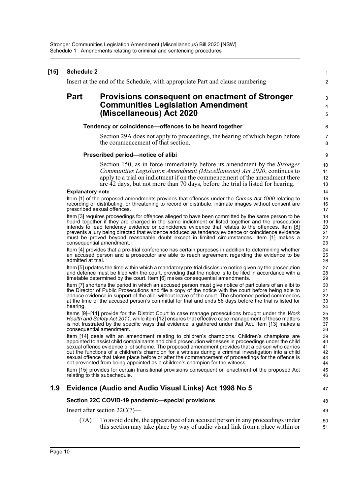|                                                                                                                                                                                                                                                                                                                                                                                                                                                                                                             |                                                                                                                                                                                                                                                                                                                                 | $\mathbf{1}$                                                                                                                                                                                                                                                                                                                                                                                                                                                                                                                                                                                                                                                                                                                                                                                                                                                                                                                                                                                                                                                                                                                                                                                                                                                                                                                                                                                                                                                                                                                                                                                                                                                                                                                                                                                                                                                                                                                                                                                                                                                                                                                                                                                                                                         |  |  |  |  |  |  |  |  |
|-------------------------------------------------------------------------------------------------------------------------------------------------------------------------------------------------------------------------------------------------------------------------------------------------------------------------------------------------------------------------------------------------------------------------------------------------------------------------------------------------------------|---------------------------------------------------------------------------------------------------------------------------------------------------------------------------------------------------------------------------------------------------------------------------------------------------------------------------------|------------------------------------------------------------------------------------------------------------------------------------------------------------------------------------------------------------------------------------------------------------------------------------------------------------------------------------------------------------------------------------------------------------------------------------------------------------------------------------------------------------------------------------------------------------------------------------------------------------------------------------------------------------------------------------------------------------------------------------------------------------------------------------------------------------------------------------------------------------------------------------------------------------------------------------------------------------------------------------------------------------------------------------------------------------------------------------------------------------------------------------------------------------------------------------------------------------------------------------------------------------------------------------------------------------------------------------------------------------------------------------------------------------------------------------------------------------------------------------------------------------------------------------------------------------------------------------------------------------------------------------------------------------------------------------------------------------------------------------------------------------------------------------------------------------------------------------------------------------------------------------------------------------------------------------------------------------------------------------------------------------------------------------------------------------------------------------------------------------------------------------------------------------------------------------------------------------------------------------------------------|--|--|--|--|--|--|--|--|
|                                                                                                                                                                                                                                                                                                                                                                                                                                                                                                             |                                                                                                                                                                                                                                                                                                                                 | 2                                                                                                                                                                                                                                                                                                                                                                                                                                                                                                                                                                                                                                                                                                                                                                                                                                                                                                                                                                                                                                                                                                                                                                                                                                                                                                                                                                                                                                                                                                                                                                                                                                                                                                                                                                                                                                                                                                                                                                                                                                                                                                                                                                                                                                                    |  |  |  |  |  |  |  |  |
| <b>Part</b>                                                                                                                                                                                                                                                                                                                                                                                                                                                                                                 | Provisions consequent on enactment of Stronger                                                                                                                                                                                                                                                                                  | 3<br>4                                                                                                                                                                                                                                                                                                                                                                                                                                                                                                                                                                                                                                                                                                                                                                                                                                                                                                                                                                                                                                                                                                                                                                                                                                                                                                                                                                                                                                                                                                                                                                                                                                                                                                                                                                                                                                                                                                                                                                                                                                                                                                                                                                                                                                               |  |  |  |  |  |  |  |  |
|                                                                                                                                                                                                                                                                                                                                                                                                                                                                                                             | (Miscellaneous) Act 2020                                                                                                                                                                                                                                                                                                        | 5                                                                                                                                                                                                                                                                                                                                                                                                                                                                                                                                                                                                                                                                                                                                                                                                                                                                                                                                                                                                                                                                                                                                                                                                                                                                                                                                                                                                                                                                                                                                                                                                                                                                                                                                                                                                                                                                                                                                                                                                                                                                                                                                                                                                                                                    |  |  |  |  |  |  |  |  |
| Tendency or coincidence-offences to be heard together                                                                                                                                                                                                                                                                                                                                                                                                                                                       |                                                                                                                                                                                                                                                                                                                                 |                                                                                                                                                                                                                                                                                                                                                                                                                                                                                                                                                                                                                                                                                                                                                                                                                                                                                                                                                                                                                                                                                                                                                                                                                                                                                                                                                                                                                                                                                                                                                                                                                                                                                                                                                                                                                                                                                                                                                                                                                                                                                                                                                                                                                                                      |  |  |  |  |  |  |  |  |
|                                                                                                                                                                                                                                                                                                                                                                                                                                                                                                             | Section 29A does not apply to proceedings, the hearing of which began before<br>the commencement of that section.                                                                                                                                                                                                               | $\overline{7}$<br>8                                                                                                                                                                                                                                                                                                                                                                                                                                                                                                                                                                                                                                                                                                                                                                                                                                                                                                                                                                                                                                                                                                                                                                                                                                                                                                                                                                                                                                                                                                                                                                                                                                                                                                                                                                                                                                                                                                                                                                                                                                                                                                                                                                                                                                  |  |  |  |  |  |  |  |  |
|                                                                                                                                                                                                                                                                                                                                                                                                                                                                                                             |                                                                                                                                                                                                                                                                                                                                 | 9                                                                                                                                                                                                                                                                                                                                                                                                                                                                                                                                                                                                                                                                                                                                                                                                                                                                                                                                                                                                                                                                                                                                                                                                                                                                                                                                                                                                                                                                                                                                                                                                                                                                                                                                                                                                                                                                                                                                                                                                                                                                                                                                                                                                                                                    |  |  |  |  |  |  |  |  |
|                                                                                                                                                                                                                                                                                                                                                                                                                                                                                                             | Section 150, as in force immediately before its amendment by the <i>Stronger</i><br>Communities Legislation Amendment (Miscellaneous) Act 2020, continues to<br>apply to a trial on indictment if on the commencement of the amendment there<br>are 42 days, but not more than 70 days, before the trial is listed for hearing. | 10<br>11<br>12<br>13<br>14                                                                                                                                                                                                                                                                                                                                                                                                                                                                                                                                                                                                                                                                                                                                                                                                                                                                                                                                                                                                                                                                                                                                                                                                                                                                                                                                                                                                                                                                                                                                                                                                                                                                                                                                                                                                                                                                                                                                                                                                                                                                                                                                                                                                                           |  |  |  |  |  |  |  |  |
|                                                                                                                                                                                                                                                                                                                                                                                                                                                                                                             |                                                                                                                                                                                                                                                                                                                                 | 15                                                                                                                                                                                                                                                                                                                                                                                                                                                                                                                                                                                                                                                                                                                                                                                                                                                                                                                                                                                                                                                                                                                                                                                                                                                                                                                                                                                                                                                                                                                                                                                                                                                                                                                                                                                                                                                                                                                                                                                                                                                                                                                                                                                                                                                   |  |  |  |  |  |  |  |  |
|                                                                                                                                                                                                                                                                                                                                                                                                                                                                                                             |                                                                                                                                                                                                                                                                                                                                 | 16<br>17                                                                                                                                                                                                                                                                                                                                                                                                                                                                                                                                                                                                                                                                                                                                                                                                                                                                                                                                                                                                                                                                                                                                                                                                                                                                                                                                                                                                                                                                                                                                                                                                                                                                                                                                                                                                                                                                                                                                                                                                                                                                                                                                                                                                                                             |  |  |  |  |  |  |  |  |
| Item [3] requires proceedings for offences alleged to have been committed by the same person to be<br>heard together if they are charged in the same indictment or listed together and the prosecution<br>intends to lead tendency evidence or coincidence evidence that relates to the offences. Item [8]<br>prevents a jury being directed that evidence adduced as tendency evidence or coincidence evidence<br>must be proved beyond reasonable doubt except in limited circumstances. Item [1] makes a |                                                                                                                                                                                                                                                                                                                                 |                                                                                                                                                                                                                                                                                                                                                                                                                                                                                                                                                                                                                                                                                                                                                                                                                                                                                                                                                                                                                                                                                                                                                                                                                                                                                                                                                                                                                                                                                                                                                                                                                                                                                                                                                                                                                                                                                                                                                                                                                                                                                                                                                                                                                                                      |  |  |  |  |  |  |  |  |
|                                                                                                                                                                                                                                                                                                                                                                                                                                                                                                             |                                                                                                                                                                                                                                                                                                                                 | 24<br>25<br>26                                                                                                                                                                                                                                                                                                                                                                                                                                                                                                                                                                                                                                                                                                                                                                                                                                                                                                                                                                                                                                                                                                                                                                                                                                                                                                                                                                                                                                                                                                                                                                                                                                                                                                                                                                                                                                                                                                                                                                                                                                                                                                                                                                                                                                       |  |  |  |  |  |  |  |  |
|                                                                                                                                                                                                                                                                                                                                                                                                                                                                                                             |                                                                                                                                                                                                                                                                                                                                 | 27<br>28<br>29                                                                                                                                                                                                                                                                                                                                                                                                                                                                                                                                                                                                                                                                                                                                                                                                                                                                                                                                                                                                                                                                                                                                                                                                                                                                                                                                                                                                                                                                                                                                                                                                                                                                                                                                                                                                                                                                                                                                                                                                                                                                                                                                                                                                                                       |  |  |  |  |  |  |  |  |
| hearing.                                                                                                                                                                                                                                                                                                                                                                                                                                                                                                    |                                                                                                                                                                                                                                                                                                                                 | 30<br>31<br>32<br>33<br>34                                                                                                                                                                                                                                                                                                                                                                                                                                                                                                                                                                                                                                                                                                                                                                                                                                                                                                                                                                                                                                                                                                                                                                                                                                                                                                                                                                                                                                                                                                                                                                                                                                                                                                                                                                                                                                                                                                                                                                                                                                                                                                                                                                                                                           |  |  |  |  |  |  |  |  |
| Items [9]-[11] provide for the District Court to case manage prosecutions brought under the Work<br>Health and Safety Act 2011, while item [12] ensures that effective case management of those matters<br>is not frustrated by the specific ways that evidence is gathered under that Act. Item [13] makes a<br>consequential amendment.                                                                                                                                                                   |                                                                                                                                                                                                                                                                                                                                 |                                                                                                                                                                                                                                                                                                                                                                                                                                                                                                                                                                                                                                                                                                                                                                                                                                                                                                                                                                                                                                                                                                                                                                                                                                                                                                                                                                                                                                                                                                                                                                                                                                                                                                                                                                                                                                                                                                                                                                                                                                                                                                                                                                                                                                                      |  |  |  |  |  |  |  |  |
|                                                                                                                                                                                                                                                                                                                                                                                                                                                                                                             |                                                                                                                                                                                                                                                                                                                                 | 39<br>40<br>41<br>42<br>43<br>44                                                                                                                                                                                                                                                                                                                                                                                                                                                                                                                                                                                                                                                                                                                                                                                                                                                                                                                                                                                                                                                                                                                                                                                                                                                                                                                                                                                                                                                                                                                                                                                                                                                                                                                                                                                                                                                                                                                                                                                                                                                                                                                                                                                                                     |  |  |  |  |  |  |  |  |
|                                                                                                                                                                                                                                                                                                                                                                                                                                                                                                             |                                                                                                                                                                                                                                                                                                                                 | 45<br>46                                                                                                                                                                                                                                                                                                                                                                                                                                                                                                                                                                                                                                                                                                                                                                                                                                                                                                                                                                                                                                                                                                                                                                                                                                                                                                                                                                                                                                                                                                                                                                                                                                                                                                                                                                                                                                                                                                                                                                                                                                                                                                                                                                                                                                             |  |  |  |  |  |  |  |  |
| Evidence (Audio and Audio Visual Links) Act 1998 No 5                                                                                                                                                                                                                                                                                                                                                                                                                                                       |                                                                                                                                                                                                                                                                                                                                 |                                                                                                                                                                                                                                                                                                                                                                                                                                                                                                                                                                                                                                                                                                                                                                                                                                                                                                                                                                                                                                                                                                                                                                                                                                                                                                                                                                                                                                                                                                                                                                                                                                                                                                                                                                                                                                                                                                                                                                                                                                                                                                                                                                                                                                                      |  |  |  |  |  |  |  |  |
| Section 22C COVID-19 pandemic-special provisions                                                                                                                                                                                                                                                                                                                                                                                                                                                            |                                                                                                                                                                                                                                                                                                                                 |                                                                                                                                                                                                                                                                                                                                                                                                                                                                                                                                                                                                                                                                                                                                                                                                                                                                                                                                                                                                                                                                                                                                                                                                                                                                                                                                                                                                                                                                                                                                                                                                                                                                                                                                                                                                                                                                                                                                                                                                                                                                                                                                                                                                                                                      |  |  |  |  |  |  |  |  |
|                                                                                                                                                                                                                                                                                                                                                                                                                                                                                                             |                                                                                                                                                                                                                                                                                                                                 | 49                                                                                                                                                                                                                                                                                                                                                                                                                                                                                                                                                                                                                                                                                                                                                                                                                                                                                                                                                                                                                                                                                                                                                                                                                                                                                                                                                                                                                                                                                                                                                                                                                                                                                                                                                                                                                                                                                                                                                                                                                                                                                                                                                                                                                                                   |  |  |  |  |  |  |  |  |
| (7A)                                                                                                                                                                                                                                                                                                                                                                                                                                                                                                        | To avoid doubt, the appearance of an accused person in any proceedings under<br>this section may take place by way of audio visual link from a place within or                                                                                                                                                                  | 50<br>51                                                                                                                                                                                                                                                                                                                                                                                                                                                                                                                                                                                                                                                                                                                                                                                                                                                                                                                                                                                                                                                                                                                                                                                                                                                                                                                                                                                                                                                                                                                                                                                                                                                                                                                                                                                                                                                                                                                                                                                                                                                                                                                                                                                                                                             |  |  |  |  |  |  |  |  |
|                                                                                                                                                                                                                                                                                                                                                                                                                                                                                                             |                                                                                                                                                                                                                                                                                                                                 | <b>Schedule 2</b><br>Insert at the end of the Schedule, with appropriate Part and clause numbering—<br><b>Communities Legislation Amendment</b><br>Prescribed period-notice of alibi<br><b>Explanatory note</b><br>Item [1] of the proposed amendments provides that offences under the Crimes Act 1900 relating to<br>recording or distributing, or threatening to record or distribute, intimate images without consent are<br>prescribed sexual offences.<br>consequential amendment.<br>Item [4] provides that a pre-trial conference has certain purposes in addition to determining whether<br>an accused person and a prosecutor are able to reach agreement regarding the evidence to be<br>admitted at trial.<br>Item [5] updates the time within which a mandatory pre-trial disclosure notice given by the prosecution<br>and defence must be filed with the court, providing that the notice is to be filed in accordance with a<br>timetable determined by the court. Item [6] makes consequential amendments.<br>Item [7] shortens the period in which an accused person must give notice of particulars of an alibi to<br>the Director of Public Prosecutions and file a copy of the notice with the court before being able to<br>adduce evidence in support of the alibi without leave of the court. The shortened period commences<br>at the time of the accused person's committal for trial and ends 56 days before the trial is listed for<br>Item [14] deals with an amendment relating to children's champions. Children's champions are<br>appointed to assist child complainants and child prosecution witnesses in proceedings under the child<br>sexual offence evidence pilot scheme. The proposed amendment provides that a person who carries<br>out the functions of a children's champion for a witness during a criminal investigation into a child<br>sexual offence that takes place before or after the commencement of proceedings for the offence is<br>not prevented from being appointed as a children's champion for the witness.<br>Item [15] provides for certain transitional provisions consequent on enactment of the proposed Act<br>relating to this subschedule.<br>Insert after section $22C(7)$ — |  |  |  |  |  |  |  |  |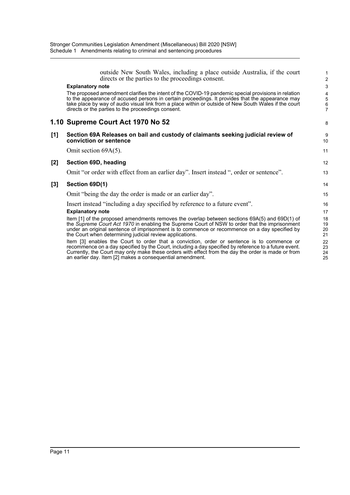an earlier day. Item [2] makes a consequential amendment.

|     | outside New South Wales, including a place outside Australia, if the court<br>directs or the parties to the proceedings consent.                                                                                                                                                                                                                                       | 1<br>$\overline{c}$                                          |
|-----|------------------------------------------------------------------------------------------------------------------------------------------------------------------------------------------------------------------------------------------------------------------------------------------------------------------------------------------------------------------------|--------------------------------------------------------------|
|     | <b>Explanatory note</b>                                                                                                                                                                                                                                                                                                                                                | 3                                                            |
|     | The proposed amendment clarifies the intent of the COVID-19 pandemic special provisions in relation<br>to the appearance of accused persons in certain proceedings. It provides that the appearance may<br>take place by way of audio visual link from a place within or outside of New South Wales if the court<br>directs or the parties to the proceedings consent. | 4<br>$\begin{array}{c} 5 \\ 6 \end{array}$<br>$\overline{7}$ |
|     | 1.10 Supreme Court Act 1970 No 52                                                                                                                                                                                                                                                                                                                                      | 8                                                            |
| [1] | Section 69A Releases on bail and custody of claimants seeking judicial review of<br>conviction or sentence                                                                                                                                                                                                                                                             | 9<br>10                                                      |
|     | Omit section 69A(5).                                                                                                                                                                                                                                                                                                                                                   | 11                                                           |
| [2] | Section 69D, heading                                                                                                                                                                                                                                                                                                                                                   | 12                                                           |
|     | Omit "or order with effect from an earlier day". Insert instead ", order or sentence".                                                                                                                                                                                                                                                                                 | 13                                                           |
| [3] | Section 69D(1)                                                                                                                                                                                                                                                                                                                                                         | 14                                                           |
|     | Omit "being the day the order is made or an earlier day".                                                                                                                                                                                                                                                                                                              | 15                                                           |
|     | Insert instead "including a day specified by reference to a future event".                                                                                                                                                                                                                                                                                             | 16                                                           |
|     | <b>Explanatory note</b>                                                                                                                                                                                                                                                                                                                                                | 17                                                           |
|     | Item [1] of the proposed amendments removes the overlap between sections $69A(5)$ and $69D(1)$ of<br>the Supreme Court Act 1970 in enabling the Supreme Court of NSW to order that the imprisonment<br>under an original sentence of imprisonment is to commence or recommence on a day specified by<br>the Court when determining judicial review applications.       | 18<br>19<br>20<br>21                                         |
|     | Item [3] enables the Court to order that a conviction, order or sentence is to commence or<br>recommence on a day specified by the Court, including a day specified by reference to a future event.<br>Currently, the Court may only make these orders with effect from the day the order is made or from                                                              | 22<br>23<br>24                                               |

25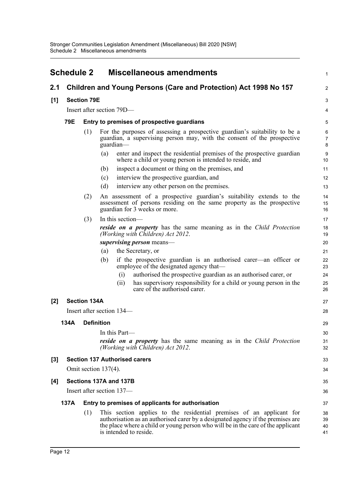<span id="page-14-0"></span>

|       | <b>Schedule 2</b> |                     | <b>Miscellaneous amendments</b>                                                                                                                                                                                                                                       | 1                    |
|-------|-------------------|---------------------|-----------------------------------------------------------------------------------------------------------------------------------------------------------------------------------------------------------------------------------------------------------------------|----------------------|
| 2.1   |                   |                     | Children and Young Persons (Care and Protection) Act 1998 No 157                                                                                                                                                                                                      | $\overline{a}$       |
| [1]   |                   | <b>Section 79E</b>  |                                                                                                                                                                                                                                                                       | 3                    |
|       |                   |                     | Insert after section 79D—                                                                                                                                                                                                                                             | 4                    |
|       | 79E               |                     | Entry to premises of prospective guardians                                                                                                                                                                                                                            | 5                    |
|       |                   | (1)                 | For the purposes of assessing a prospective guardian's suitability to be a<br>guardian, a supervising person may, with the consent of the prospective<br>guardian-                                                                                                    | 6<br>7<br>8          |
|       |                   |                     | enter and inspect the residential premises of the prospective guardian<br>(a)<br>where a child or young person is intended to reside, and                                                                                                                             | 9<br>10              |
|       |                   |                     | inspect a document or thing on the premises, and<br>(b)                                                                                                                                                                                                               | 11                   |
|       |                   |                     | interview the prospective guardian, and<br>(c)                                                                                                                                                                                                                        | 12                   |
|       |                   |                     | (d)<br>interview any other person on the premises.                                                                                                                                                                                                                    | 13                   |
|       |                   | (2)                 | An assessment of a prospective guardian's suitability extends to the<br>assessment of persons residing on the same property as the prospective<br>guardian for 3 weeks or more.                                                                                       | 14<br>15<br>16       |
|       |                   | (3)                 | In this section-                                                                                                                                                                                                                                                      | 17                   |
|       |                   |                     | reside on a property has the same meaning as in the Child Protection<br>(Working with Children) Act 2012.                                                                                                                                                             | 18<br>19             |
|       |                   |                     | supervising person means-                                                                                                                                                                                                                                             | 20                   |
|       |                   |                     | the Secretary, or<br>(a)                                                                                                                                                                                                                                              | 21                   |
|       |                   |                     | if the prospective guardian is an authorised carer—an officer or<br>(b)<br>employee of the designated agency that—                                                                                                                                                    | 22<br>23             |
|       |                   |                     | authorised the prospective guardian as an authorised carer, or<br>(i)                                                                                                                                                                                                 | 24                   |
|       |                   |                     | has supervisory responsibility for a child or young person in the<br>(ii)<br>care of the authorised carer.                                                                                                                                                            | 25<br>26             |
| $[2]$ |                   | <b>Section 134A</b> |                                                                                                                                                                                                                                                                       | 27                   |
|       |                   |                     | Insert after section 134—                                                                                                                                                                                                                                             | 28                   |
|       | 134A              | <b>Definition</b>   |                                                                                                                                                                                                                                                                       | 29                   |
|       |                   |                     | In this Part-                                                                                                                                                                                                                                                         | 30                   |
|       |                   |                     | <b>reside on a property</b> has the same meaning as in the Child Protection<br>(Working with Children) Act 2012.                                                                                                                                                      | 31<br>32             |
| $[3]$ |                   |                     | <b>Section 137 Authorised carers</b>                                                                                                                                                                                                                                  | 33                   |
|       |                   |                     | Omit section 137(4).                                                                                                                                                                                                                                                  | 34                   |
| [4]   |                   |                     | Sections 137A and 137B                                                                                                                                                                                                                                                | 35                   |
|       |                   |                     | Insert after section 137—                                                                                                                                                                                                                                             | 36                   |
|       | 137A              |                     | Entry to premises of applicants for authorisation                                                                                                                                                                                                                     | 37                   |
|       |                   | (1)                 | This section applies to the residential premises of an applicant for<br>authorisation as an authorised carer by a designated agency if the premises are<br>the place where a child or young person who will be in the care of the applicant<br>is intended to reside. | 38<br>39<br>40<br>41 |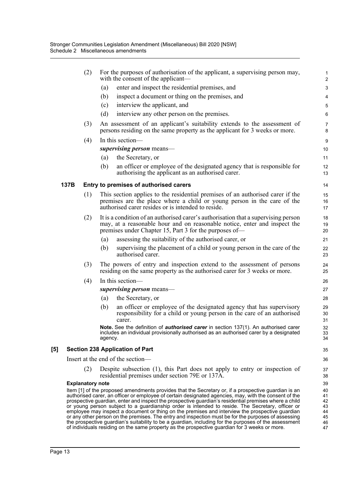|                     |      | (2)                     | For the purposes of authorisation of the applicant, a supervising person may,<br>with the consent of the applicant—                                                                                                                                                                                                                                                                                                                                                                                                                                                                                                                                                                                                                                                                                                                           | 1<br>$\overline{\mathbf{c}}$                 |  |  |  |  |
|---------------------|------|-------------------------|-----------------------------------------------------------------------------------------------------------------------------------------------------------------------------------------------------------------------------------------------------------------------------------------------------------------------------------------------------------------------------------------------------------------------------------------------------------------------------------------------------------------------------------------------------------------------------------------------------------------------------------------------------------------------------------------------------------------------------------------------------------------------------------------------------------------------------------------------|----------------------------------------------|--|--|--|--|
|                     |      |                         | enter and inspect the residential premises, and<br>(a)                                                                                                                                                                                                                                                                                                                                                                                                                                                                                                                                                                                                                                                                                                                                                                                        | 3                                            |  |  |  |  |
|                     |      |                         | inspect a document or thing on the premises, and<br>(b)                                                                                                                                                                                                                                                                                                                                                                                                                                                                                                                                                                                                                                                                                                                                                                                       | 4                                            |  |  |  |  |
|                     |      |                         | interview the applicant, and<br>(c)                                                                                                                                                                                                                                                                                                                                                                                                                                                                                                                                                                                                                                                                                                                                                                                                           | 5                                            |  |  |  |  |
|                     |      |                         | (d)<br>interview any other person on the premises.                                                                                                                                                                                                                                                                                                                                                                                                                                                                                                                                                                                                                                                                                                                                                                                            | 6                                            |  |  |  |  |
|                     |      | (3)                     | An assessment of an applicant's suitability extends to the assessment of<br>persons residing on the same property as the applicant for 3 weeks or more.                                                                                                                                                                                                                                                                                                                                                                                                                                                                                                                                                                                                                                                                                       | $\overline{7}$<br>8                          |  |  |  |  |
|                     |      | (4)                     | In this section—                                                                                                                                                                                                                                                                                                                                                                                                                                                                                                                                                                                                                                                                                                                                                                                                                              | 9                                            |  |  |  |  |
|                     |      |                         | supervising person means—                                                                                                                                                                                                                                                                                                                                                                                                                                                                                                                                                                                                                                                                                                                                                                                                                     | 10                                           |  |  |  |  |
|                     |      |                         | the Secretary, or<br>(a)                                                                                                                                                                                                                                                                                                                                                                                                                                                                                                                                                                                                                                                                                                                                                                                                                      | 11                                           |  |  |  |  |
|                     |      |                         | (b)<br>an officer or employee of the designated agency that is responsible for<br>authorising the applicant as an authorised carer.                                                                                                                                                                                                                                                                                                                                                                                                                                                                                                                                                                                                                                                                                                           | 12<br>13                                     |  |  |  |  |
|                     | 137B |                         | Entry to premises of authorised carers                                                                                                                                                                                                                                                                                                                                                                                                                                                                                                                                                                                                                                                                                                                                                                                                        | 14                                           |  |  |  |  |
|                     |      | (1)                     | This section applies to the residential premises of an authorised carer if the<br>premises are the place where a child or young person in the care of the<br>authorised carer resides or is intended to reside.                                                                                                                                                                                                                                                                                                                                                                                                                                                                                                                                                                                                                               | 15<br>16<br>17                               |  |  |  |  |
|                     |      | (2)                     | It is a condition of an authorised carer's authorisation that a supervising person<br>may, at a reasonable hour and on reasonable notice, enter and inspect the<br>premises under Chapter 15, Part 3 for the purposes of—                                                                                                                                                                                                                                                                                                                                                                                                                                                                                                                                                                                                                     | 18<br>19<br>20                               |  |  |  |  |
|                     |      |                         | assessing the suitability of the authorised carer, or<br>(a)                                                                                                                                                                                                                                                                                                                                                                                                                                                                                                                                                                                                                                                                                                                                                                                  | 21                                           |  |  |  |  |
|                     |      |                         | supervising the placement of a child or young person in the care of the<br>(b)<br>authorised carer.                                                                                                                                                                                                                                                                                                                                                                                                                                                                                                                                                                                                                                                                                                                                           | 22<br>23                                     |  |  |  |  |
|                     |      | (3)                     | The powers of entry and inspection extend to the assessment of persons<br>residing on the same property as the authorised carer for 3 weeks or more.                                                                                                                                                                                                                                                                                                                                                                                                                                                                                                                                                                                                                                                                                          | 24<br>25                                     |  |  |  |  |
|                     |      | (4)                     | In this section-                                                                                                                                                                                                                                                                                                                                                                                                                                                                                                                                                                                                                                                                                                                                                                                                                              | 26                                           |  |  |  |  |
|                     |      |                         | supervising person means—                                                                                                                                                                                                                                                                                                                                                                                                                                                                                                                                                                                                                                                                                                                                                                                                                     | 27                                           |  |  |  |  |
|                     |      |                         | the Secretary, or<br>(a)                                                                                                                                                                                                                                                                                                                                                                                                                                                                                                                                                                                                                                                                                                                                                                                                                      | 28                                           |  |  |  |  |
|                     |      |                         | an officer or employee of the designated agency that has supervisory<br>(b)<br>responsibility for a child or young person in the care of an authorised<br>carer.                                                                                                                                                                                                                                                                                                                                                                                                                                                                                                                                                                                                                                                                              | 29<br>30<br>31                               |  |  |  |  |
|                     |      |                         | Note. See the definition of <i>authorised carer</i> in section 137(1). An authorised carer<br>includes an individual provisionally authorised as an authorised carer by a designated<br>agency.                                                                                                                                                                                                                                                                                                                                                                                                                                                                                                                                                                                                                                               | 32<br>33<br>34                               |  |  |  |  |
| $\lbrack 5 \rbrack$ |      |                         | <b>Section 238 Application of Part</b>                                                                                                                                                                                                                                                                                                                                                                                                                                                                                                                                                                                                                                                                                                                                                                                                        | 35                                           |  |  |  |  |
|                     |      |                         | Insert at the end of the section-                                                                                                                                                                                                                                                                                                                                                                                                                                                                                                                                                                                                                                                                                                                                                                                                             | 36                                           |  |  |  |  |
|                     |      | (2)                     | Despite subsection (1), this Part does not apply to entry or inspection of<br>residential premises under section 79E or 137A.                                                                                                                                                                                                                                                                                                                                                                                                                                                                                                                                                                                                                                                                                                                 | 37<br>38                                     |  |  |  |  |
|                     |      | <b>Explanatory note</b> |                                                                                                                                                                                                                                                                                                                                                                                                                                                                                                                                                                                                                                                                                                                                                                                                                                               | 39                                           |  |  |  |  |
|                     |      |                         | Item [1] of the proposed amendments provides that the Secretary or, if a prospective guardian is an<br>authorised carer, an officer or employee of certain designated agencies, may, with the consent of the<br>prospective guardian, enter and inspect the prospective guardian's residential premises where a child<br>or young person subject to a guardianship order is intended to reside. The Secretary, officer or<br>employee may inspect a document or thing on the premises and interview the prospective guardian<br>or any other person on the premises. The entry and inspection must be for the purposes of assessing<br>the prospective guardian's suitability to be a guardian, including for the purposes of the assessment<br>of individuals residing on the same property as the prospective guardian for 3 weeks or more. | 40<br>41<br>42<br>43<br>44<br>45<br>46<br>47 |  |  |  |  |
|                     |      |                         |                                                                                                                                                                                                                                                                                                                                                                                                                                                                                                                                                                                                                                                                                                                                                                                                                                               |                                              |  |  |  |  |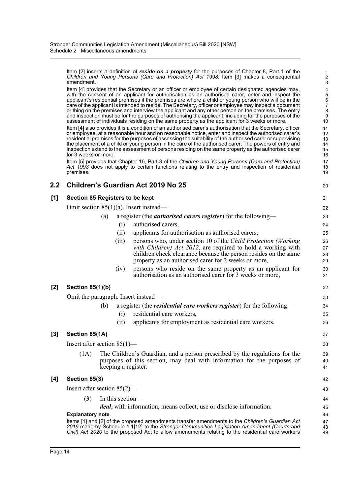Item [2] inserts a definition of *reside on a property* for the purposes of Chapter 8, Part 1 of the *Children and Young Persons (Care and Protection) Act 1998*. Item [3] makes a consequential amendment.

Item [4] provides that the Secretary or an officer or employee of certain designated agencies may, with the consent of an applicant for authorisation as an authorised carer, enter and inspect the applicant's residential premises if the premises are where a child or young person who will be in the care of the applicant is intended to reside. The Secretary, officer or employee may inspect a document or thing on the premises and interview the applicant and any other person on the premises. The entry and inspection must be for the purposes of authorising the applicant, including for the purposes of the assessment of individuals residing on the same property as the applicant for 3 weeks or more.

Item [4] also provides it is a condition of an authorised carer's authorisation that the Secretary, officer or employee, at a reasonable hour and on reasonable notice, enter and inspect the authorised carer's residential premises for the purposes of assessing the suitability of the authorised carer or supervising the placement of a child or young person in the care of the authorised carer. The powers of entry and inspection extend to the assessment of persons residing on the same property as the authorised carer for 3 weeks or more.

Item [5] provides that Chapter 15, Part 3 of the *Children and Young Persons (Care and Protection) Act 1998* does not apply to certain functions relating to the entry and inspection of residential premises.

### **2.2 Children's Guardian Act 2019 No 25**

20

#### **[1] Section 85 Registers to be kept**

Omit section 85(1)(a). Insert instead—

| (a) a register (the <i>authorised carers register</i> ) for the following— |                        |
|----------------------------------------------------------------------------|------------------------|
|                                                                            | (i) authorised carers, |
|                                                                            |                        |

(ii) applicants for authorisation as authorised carers,

|                         | (iii)                                                                         | persons who, under section 10 of the Child Protection (Working  | 26 |
|-------------------------|-------------------------------------------------------------------------------|-----------------------------------------------------------------|----|
|                         |                                                                               | with Children) Act 2012, are required to hold a working with    | 27 |
|                         |                                                                               | children check clearance because the person resides on the same | 28 |
|                         |                                                                               | property as an authorised carer for 3 weeks or more,            | 29 |
|                         | (iv)                                                                          | persons who reside on the same property as an applicant for     | 30 |
|                         |                                                                               | authorisation as an authorised carer for 3 weeks or more,       | 31 |
|                         |                                                                               |                                                                 |    |
| (b)                     |                                                                               |                                                                 | 32 |
| agraph. Insert instead— |                                                                               |                                                                 |    |
| (b)                     | a register (the <i>residential care workers register</i> ) for the following— |                                                                 | 34 |
|                         | (1)                                                                           | residential care workers,                                       | 35 |
|                         | (11)                                                                          | applicants for employment as residential care workers,          | 36 |
|                         |                                                                               |                                                                 |    |

#### **[3] Section 85(1A)**

**[2] Section 85(1)(b)**

Omit the paragrap.

Insert after section 85(1)—

(1A) The Children's Guardian, and a person prescribed by the regulations for the purposes of this section, may deal with information for the purposes of keeping a register.

#### **[4] Section 85(3)**

Insert after section 85(2)—

(3) In this section—

*deal*, with information, means collect, use or disclose information.

#### **Explanatory note**

Items [1] and [2] of the proposed amendments transfer amendments to the *Children's Guardian Act 2019* made by Schedule 1.1[12] to the *Stronger Communities Legislation Amendment (Courts and Civil) Act 2020* to the proposed Act to allow amendments relating to the residential care workers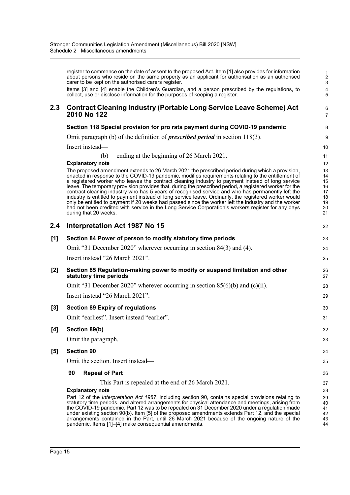|     | register to commence on the date of assent to the proposed Act. Item [1] also provides for information<br>about persons who reside on the same property as an applicant for authorisation as an authorised<br>carer to be kept on the authorised carers register.                                                                                                                                                                                                                                                                                                                                                                                                                                                                                                                                                                                                                                     | $\frac{1}{2}$<br>3                                       |
|-----|-------------------------------------------------------------------------------------------------------------------------------------------------------------------------------------------------------------------------------------------------------------------------------------------------------------------------------------------------------------------------------------------------------------------------------------------------------------------------------------------------------------------------------------------------------------------------------------------------------------------------------------------------------------------------------------------------------------------------------------------------------------------------------------------------------------------------------------------------------------------------------------------------------|----------------------------------------------------------|
|     | Items [3] and [4] enable the Children's Guardian, and a person prescribed by the regulations, to<br>collect, use or disclose information for the purposes of keeping a register.                                                                                                                                                                                                                                                                                                                                                                                                                                                                                                                                                                                                                                                                                                                      | 4<br>5                                                   |
| 2.3 | <b>Contract Cleaning Industry (Portable Long Service Leave Scheme) Act</b><br>2010 No 122                                                                                                                                                                                                                                                                                                                                                                                                                                                                                                                                                                                                                                                                                                                                                                                                             | 6<br>$\overline{7}$                                      |
|     | Section 118 Special provision for pro rata payment during COVID-19 pandemic                                                                                                                                                                                                                                                                                                                                                                                                                                                                                                                                                                                                                                                                                                                                                                                                                           | 8                                                        |
|     | Omit paragraph (b) of the definition of <i>prescribed period</i> in section 118(3).                                                                                                                                                                                                                                                                                                                                                                                                                                                                                                                                                                                                                                                                                                                                                                                                                   | 9                                                        |
|     | Insert instead—                                                                                                                                                                                                                                                                                                                                                                                                                                                                                                                                                                                                                                                                                                                                                                                                                                                                                       | 10                                                       |
|     | ending at the beginning of 26 March 2021.<br>(b)                                                                                                                                                                                                                                                                                                                                                                                                                                                                                                                                                                                                                                                                                                                                                                                                                                                      | 11                                                       |
|     | <b>Explanatory note</b><br>The proposed amendment extends to 26 March 2021 the prescribed period during which a provision,<br>enacted in response to the COVID-19 pandemic, modifies requirements relating to the entitlement of<br>a registered worker who leaves the contract cleaning industry to payment instead of long service<br>leave. The temporary provision provides that, during the prescribed period, a registered worker for the<br>contract cleaning industry who has 5 years of recognised service and who has permanently left the<br>industry is entitled to payment instead of long service leave. Ordinarily, the registered worker would<br>only be entitled to payment if 20 weeks had passed since the worker left the industry and the worker<br>had not been credited with service in the Long Service Corporation's workers register for any days<br>during that 20 weeks. | 12<br>13<br>14<br>15<br>16<br>17<br>18<br>19<br>20<br>21 |
| 2.4 | Interpretation Act 1987 No 15                                                                                                                                                                                                                                                                                                                                                                                                                                                                                                                                                                                                                                                                                                                                                                                                                                                                         | 22                                                       |
| [1] | Section 84 Power of person to modify statutory time periods                                                                                                                                                                                                                                                                                                                                                                                                                                                                                                                                                                                                                                                                                                                                                                                                                                           | 23                                                       |
|     | Omit "31 December 2020" wherever occurring in section 84(3) and (4).                                                                                                                                                                                                                                                                                                                                                                                                                                                                                                                                                                                                                                                                                                                                                                                                                                  | 24                                                       |
|     | Insert instead "26 March 2021".                                                                                                                                                                                                                                                                                                                                                                                                                                                                                                                                                                                                                                                                                                                                                                                                                                                                       | 25                                                       |
| [2] | Section 85 Regulation-making power to modify or suspend limitation and other<br>statutory time periods                                                                                                                                                                                                                                                                                                                                                                                                                                                                                                                                                                                                                                                                                                                                                                                                | 26<br>27                                                 |
|     | Omit "31 December 2020" wherever occurring in section $85(6)(b)$ and (c)(ii).                                                                                                                                                                                                                                                                                                                                                                                                                                                                                                                                                                                                                                                                                                                                                                                                                         | 28                                                       |
|     | Insert instead "26 March 2021".                                                                                                                                                                                                                                                                                                                                                                                                                                                                                                                                                                                                                                                                                                                                                                                                                                                                       | 29                                                       |
| [3] | <b>Section 89 Expiry of regulations</b>                                                                                                                                                                                                                                                                                                                                                                                                                                                                                                                                                                                                                                                                                                                                                                                                                                                               | 30                                                       |
|     | Omit "earliest". Insert instead "earlier".                                                                                                                                                                                                                                                                                                                                                                                                                                                                                                                                                                                                                                                                                                                                                                                                                                                            | 31                                                       |
| [4] | Section 89(b)                                                                                                                                                                                                                                                                                                                                                                                                                                                                                                                                                                                                                                                                                                                                                                                                                                                                                         | 32                                                       |
|     | Omit the paragraph.                                                                                                                                                                                                                                                                                                                                                                                                                                                                                                                                                                                                                                                                                                                                                                                                                                                                                   | 33                                                       |
| [5] | <b>Section 90</b>                                                                                                                                                                                                                                                                                                                                                                                                                                                                                                                                                                                                                                                                                                                                                                                                                                                                                     | 34                                                       |
|     | Omit the section. Insert instead—                                                                                                                                                                                                                                                                                                                                                                                                                                                                                                                                                                                                                                                                                                                                                                                                                                                                     | 35                                                       |
|     | 90<br><b>Repeal of Part</b>                                                                                                                                                                                                                                                                                                                                                                                                                                                                                                                                                                                                                                                                                                                                                                                                                                                                           | 36                                                       |
|     | This Part is repealed at the end of 26 March 2021.                                                                                                                                                                                                                                                                                                                                                                                                                                                                                                                                                                                                                                                                                                                                                                                                                                                    | 37                                                       |
|     | <b>Explanatory note</b><br>Part 12 of the Interpretation Act 1987, including section 90, contains special provisions relating to<br>statutory time periods, and altered arrangements for physical attendance and meetings, arising from<br>the COVID-19 pandemic. Part 12 was to be repealed on 31 December 2020 under a regulation made<br>under existing section 90(b). Item [5] of the proposed amendments extends Part 12, and the special<br>arrangements contained in the Part, until 26 March 2021 because of the ongoing nature of the<br>pandemic. Items [1]-[4] make consequential amendments.                                                                                                                                                                                                                                                                                              | 38<br>39<br>40<br>41<br>42<br>43<br>44                   |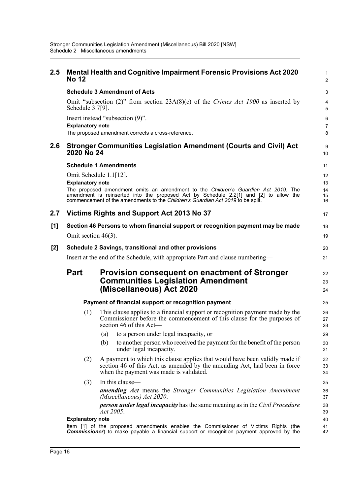| $2.5\,$ | <b>No 12</b>                                                                                                                                                                                                                                                                              | <b>Mental Health and Cognitive Impairment Forensic Provisions Act 2020</b>                                                                                                                          | 1<br>$\overline{2}$  |
|---------|-------------------------------------------------------------------------------------------------------------------------------------------------------------------------------------------------------------------------------------------------------------------------------------------|-----------------------------------------------------------------------------------------------------------------------------------------------------------------------------------------------------|----------------------|
|         |                                                                                                                                                                                                                                                                                           | <b>Schedule 3 Amendment of Acts</b>                                                                                                                                                                 | 3                    |
|         | Schedule 3.7[9].                                                                                                                                                                                                                                                                          | Omit "subsection (2)" from section $23A(8)(c)$ of the Crimes Act 1900 as inserted by                                                                                                                | 4<br>5               |
|         |                                                                                                                                                                                                                                                                                           | Insert instead "subsection (9)".                                                                                                                                                                    | 6                    |
|         | <b>Explanatory note</b>                                                                                                                                                                                                                                                                   |                                                                                                                                                                                                     | $\overline{7}$       |
|         |                                                                                                                                                                                                                                                                                           | The proposed amendment corrects a cross-reference.                                                                                                                                                  | 8                    |
| 2.6     | 2020 No 24                                                                                                                                                                                                                                                                                | <b>Stronger Communities Legislation Amendment (Courts and Civil) Act</b>                                                                                                                            | 9<br>10              |
|         |                                                                                                                                                                                                                                                                                           | <b>Schedule 1 Amendments</b>                                                                                                                                                                        | 11                   |
|         |                                                                                                                                                                                                                                                                                           | Omit Schedule 1.1[12].                                                                                                                                                                              | 12                   |
|         | <b>Explanatory note</b><br>The proposed amendment omits an amendment to the Children's Guardian Act 2019. The<br>amendment is reinserted into the proposed Act by Schedule 2.2[1] and [2] to allow the<br>commencement of the amendments to the Children's Guardian Act 2019 to be split. |                                                                                                                                                                                                     | 13<br>14<br>15<br>16 |
| 2.7     |                                                                                                                                                                                                                                                                                           | Victims Rights and Support Act 2013 No 37                                                                                                                                                           | 17                   |
| [1]     |                                                                                                                                                                                                                                                                                           | Section 46 Persons to whom financial support or recognition payment may be made                                                                                                                     | 18                   |
|         | Omit section $46(3)$ .                                                                                                                                                                                                                                                                    |                                                                                                                                                                                                     | 19                   |
| $[2]$   | Schedule 2 Savings, transitional and other provisions                                                                                                                                                                                                                                     |                                                                                                                                                                                                     |                      |
|         | Insert at the end of the Schedule, with appropriate Part and clause numbering—                                                                                                                                                                                                            |                                                                                                                                                                                                     |                      |
|         | <b>Part</b>                                                                                                                                                                                                                                                                               | Provision consequent on enactment of Stronger<br><b>Communities Legislation Amendment</b><br>(Miscellaneous) Act 2020                                                                               | 22<br>23<br>24       |
|         |                                                                                                                                                                                                                                                                                           | Payment of financial support or recognition payment                                                                                                                                                 | 25                   |
|         | (1)                                                                                                                                                                                                                                                                                       | This clause applies to a financial support or recognition payment made by the<br>Commissioner before the commencement of this clause for the purposes of<br>section 46 of this Act-                 | 26<br>27<br>28       |
|         |                                                                                                                                                                                                                                                                                           | to a person under legal incapacity, or<br>(a)                                                                                                                                                       | 29                   |
|         |                                                                                                                                                                                                                                                                                           | (b)<br>to another person who received the payment for the benefit of the person<br>under legal incapacity.                                                                                          | 30<br>31             |
|         | (2)                                                                                                                                                                                                                                                                                       | A payment to which this clause applies that would have been validly made if<br>section 46 of this Act, as amended by the amending Act, had been in force<br>when the payment was made is validated. | 32<br>33<br>34       |
|         | (3)                                                                                                                                                                                                                                                                                       | In this clause-                                                                                                                                                                                     | 35                   |
|         |                                                                                                                                                                                                                                                                                           | <b>amending Act</b> means the Stronger Communities Legislation Amendment<br>(Miscellaneous) Act 2020.                                                                                               | 36<br>37             |
|         |                                                                                                                                                                                                                                                                                           | <b>person under legal incapacity</b> has the same meaning as in the Civil Procedure<br>Act 2005.                                                                                                    | 38<br>39             |
|         | <b>Explanatory note</b>                                                                                                                                                                                                                                                                   | Item [1] of the proposed amendments enables the Commissioner of Victims Rights (the                                                                                                                 | 40<br>41             |
|         |                                                                                                                                                                                                                                                                                           | <b>Commissioner</b> ) to make payable a financial support or recognition payment approved by the                                                                                                    | 42                   |